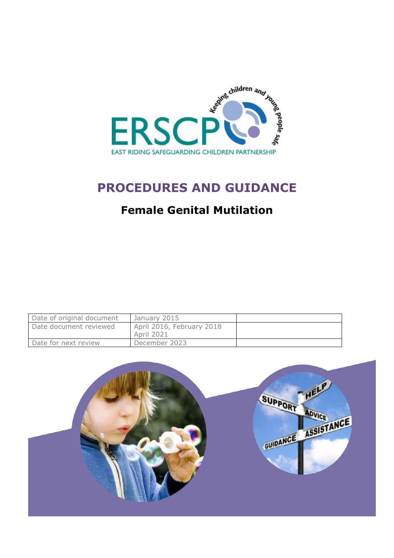

# **PROCEDURES AND GUIDANCE**

## **Female Genital Mutilation**

| Date of original document | January 2015                            |  |
|---------------------------|-----------------------------------------|--|
| Date document reviewed    | April 2016, February 2018<br>April 2021 |  |
| Date for next review      | December 2023                           |  |

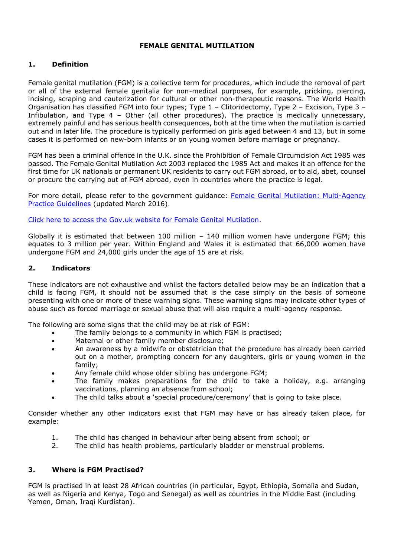### **FEMALE GENITAL MUTILATION**

## **1. Definition**

Female genital mutilation (FGM) is a collective term for procedures, which include the removal of part or all of the external female genitalia for non-medical purposes, for example, pricking, piercing, incising, scraping and cauterization for cultural or other non-therapeutic reasons. The World Health Organisation has classified FGM into four types; Type 1 – Clitoridectomy, Type 2 – Excision, Type 3 – Infibulation, and Type 4 – Other (all other procedures). The practice is medically unnecessary, extremely painful and has serious health consequences, both at the time when the mutilation is carried out and in later life. The procedure is typically performed on girls aged between 4 and 13, but in some cases it is performed on new-born infants or on young women before marriage or pregnancy.

FGM has been a criminal offence in the U.K. since the Prohibition of Female Circumcision Act 1985 was passed. The Female Genital Mutilation Act 2003 replaced the 1985 Act and makes it an offence for the first time for UK nationals or permanent UK residents to carry out FGM abroad, or to aid, abet, counsel or procure the carrying out of FGM abroad, even in countries where the practice is legal.

For more detail, please refer to the government guidance: [Female Genital Mutilation: Multi-Agency](https://www.gov.uk/government/uploads/system/uploads/attachment_data/file/512906/Multi_Agency_Statutory_Guidance_on_FGM__-_FINAL.pdf)  [Practice Guidelines](https://www.gov.uk/government/uploads/system/uploads/attachment_data/file/512906/Multi_Agency_Statutory_Guidance_on_FGM__-_FINAL.pdf) (updated March 2016).

[Click here to access the Gov.uk website for Female Genital Mutilation.](https://www.gov.uk/female-genital-mutilation)

Globally it is estimated that between  $100$  million  $-140$  million women have undergone FGM; this equates to 3 million per year. Within England and Wales it is estimated that 66,000 women have undergone FGM and 24,000 girls under the age of 15 are at risk.

#### **2. Indicators**

These indicators are not exhaustive and whilst the factors detailed below may be an indication that a child is facing FGM, it should not be assumed that is the case simply on the basis of someone presenting with one or more of these warning signs. These warning signs may indicate other types of abuse such as forced marriage or sexual abuse that will also require a multi-agency response.

The following are some signs that the child may be at risk of FGM:

- The family belongs to a community in which FGM is practised;
- Maternal or other family member disclosure;
- An awareness by a midwife or obstetrician that the procedure has already been carried out on a mother, prompting concern for any daughters, girls or young women in the family;
- Any female child whose older sibling has undergone FGM;
- The family makes preparations for the child to take a holiday, e.g. arranging vaccinations, planning an absence from school;
- The child talks about a 'special procedure/ceremony' that is going to take place.

Consider whether any other indicators exist that FGM may have or has already taken place, for example:

- 1. The child has changed in behaviour after being absent from school; or
- 2. The child has health problems, particularly bladder or menstrual problems.

#### **3. Where is FGM Practised?**

FGM is practised in at least 28 African countries (in particular, Egypt, Ethiopia, Somalia and Sudan, as well as Nigeria and Kenya, Togo and Senegal) as well as countries in the Middle East (including Yemen, Oman, Iraqi Kurdistan).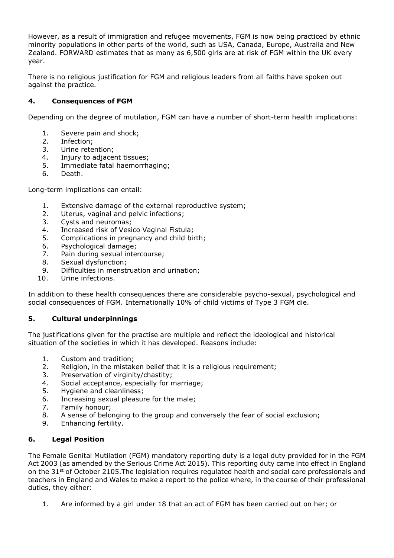However, as a result of immigration and refugee movements, FGM is now being practiced by ethnic minority populations in other parts of the world, such as USA, Canada, Europe, Australia and New Zealand. FORWARD estimates that as many as 6,500 girls are at risk of FGM within the UK every year.

There is no religious justification for FGM and religious leaders from all faiths have spoken out against the practice.

## **4. Consequences of FGM**

Depending on the degree of mutilation, FGM can have a number of short-term health implications:

- 1. Severe pain and shock;
- 2. Infection;
- 3. Urine retention;
- 4. Injury to adjacent tissues;
- 5. Immediate fatal haemorrhaging;
- 6. Death.

Long-term implications can entail:

- 1. Extensive damage of the external reproductive system;
- 2. Uterus, vaginal and pelvic infections;
- 3. Cysts and neuromas;
- 4. Increased risk of Vesico Vaginal Fistula;
- 5. Complications in pregnancy and child birth;
- 6. Psychological damage;
- 7. Pain during sexual intercourse;
- 8. Sexual dysfunction;
- 9. Difficulties in menstruation and urination;
- 10. Urine infections.

In addition to these health consequences there are considerable psycho-sexual, psychological and social consequences of FGM. Internationally 10% of child victims of Type 3 FGM die.

## **5. Cultural underpinnings**

The justifications given for the practise are multiple and reflect the ideological and historical situation of the societies in which it has developed. Reasons include:

- 1. Custom and tradition;
- 2. Religion, in the mistaken belief that it is a religious requirement;
- 3. Preservation of virginity/chastity;
- 4. Social acceptance, especially for marriage;
- 5. Hygiene and cleanliness;
- 6. Increasing sexual pleasure for the male;
- 7. Family honour;
- 8. A sense of belonging to the group and conversely the fear of social exclusion;
- 9. Enhancing fertility.

## **6. Legal Position**

The Female Genital Mutilation (FGM) mandatory reporting duty is a legal duty provided for in the FGM Act 2003 (as amended by the Serious Crime Act 2015). This reporting duty came into effect in England on the 31<sup>st</sup> of October 2105. The legislation requires regulated health and social care professionals and teachers in England and Wales to make a report to the police where, in the course of their professional duties, they either:

1. Are informed by a girl under 18 that an act of FGM has been carried out on her; or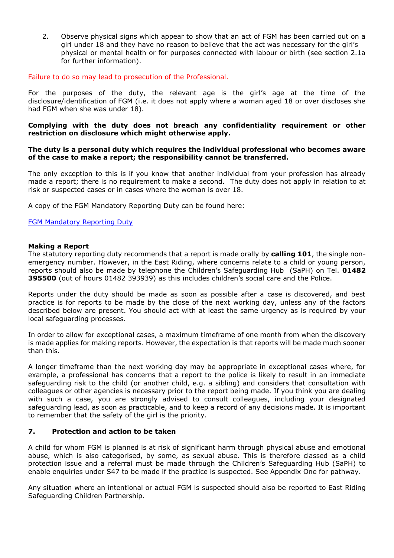2. Observe physical signs which appear to show that an act of FGM has been carried out on a girl under 18 and they have no reason to believe that the act was necessary for the girl's physical or mental health or for purposes connected with labour or birth (see section 2.1a for further information).

#### Failure to do so may lead to prosecution of the Professional.

For the purposes of the duty, the relevant age is the girl's age at the time of the disclosure/identification of FGM (i.e. it does not apply where a woman aged 18 or over discloses she had FGM when she was under 18).

#### **Complying with the duty does not breach any confidentiality requirement or other restriction on disclosure which might otherwise apply.**

#### **The duty is a personal duty which requires the individual professional who becomes aware of the case to make a report; the responsibility cannot be transferred.**

The only exception to this is if you know that another individual from your profession has already made a report; there is no requirement to make a second. The duty does not apply in relation to at risk or suspected cases or in cases where the woman is over 18.

A copy of the FGM Mandatory Reporting Duty can be found here:

#### [FGM Mandatory Reporting Duty](https://www.gov.uk/government/publications/mandatory-reporting-of-female-genital-mutilation-procedural-information)

#### **Making a Report**

The statutory reporting duty recommends that a report is made orally by **calling 101**, the single nonemergency number. However, in the East Riding, where concerns relate to a child or young person, reports should also be made by telephone the Children's Safeguarding Hub (SaPH) on Tel. **01482 395500** (out of hours 01482 393939) as this includes children's social care and the Police.

Reports under the duty should be made as soon as possible after a case is discovered, and best practice is for reports to be made by the close of the next working day, unless any of the factors described below are present. You should act with at least the same urgency as is required by your local safeguarding processes.

In order to allow for exceptional cases, a maximum timeframe of one month from when the discovery is made applies for making reports. However, the expectation is that reports will be made much sooner than this.

A longer timeframe than the next working day may be appropriate in exceptional cases where, for example, a professional has concerns that a report to the police is likely to result in an immediate safeguarding risk to the child (or another child, e.g. a sibling) and considers that consultation with colleagues or other agencies is necessary prior to the report being made. If you think you are dealing with such a case, you are strongly advised to consult colleagues, including your designated safeguarding lead, as soon as practicable, and to keep a record of any decisions made. It is important to remember that the safety of the girl is the priority.

## **7. Protection and action to be taken**

A child for whom FGM is planned is at risk of significant harm through physical abuse and emotional abuse, which is also categorised, by some, as sexual abuse. This is therefore classed as a child protection issue and a referral must be made through the Children's Safeguarding Hub (SaPH) to enable enquiries under S47 to be made if the practice is suspected. See Appendix One for pathway.

Any situation where an intentional or actual FGM is suspected should also be reported to East Riding Safeguarding Children Partnership.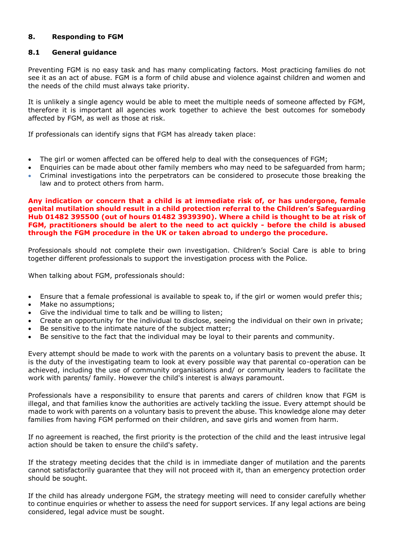## **8. Responding to FGM**

## **8.1 General guidance**

Preventing FGM is no easy task and has many complicating factors. Most practicing families do not see it as an act of abuse. FGM is a form of child abuse and violence against children and women and the needs of the child must always take priority.

It is unlikely a single agency would be able to meet the multiple needs of someone affected by FGM, therefore it is important all agencies work together to achieve the best outcomes for somebody affected by FGM, as well as those at risk.

If professionals can identify signs that FGM has already taken place:

- The girl or women affected can be offered help to deal with the consequences of FGM;
- Enquiries can be made about other family members who may need to be safeguarded from harm; Criminal investigations into the perpetrators can be considered to prosecute those breaking the law and to protect others from harm.
- **Any indication or concern that a child is at immediate risk of, or has undergone, female genital mutilation should result in a child protection referral to the Children's Safeguarding Hub 01482 395500 (out of hours 01482 3939390). Where a child is thought to be at risk of FGM, practitioners should be alert to the need to act quickly - before the child is abused through the FGM procedure in the UK or taken abroad to undergo the procedure.**

Professionals should not complete their own investigation. Children's Social Care is able to bring together different professionals to support the investigation process with the Police.

When talking about FGM, professionals should:

- Ensure that a female professional is available to speak to, if the girl or women would prefer this;
- Make no assumptions;
- Give the individual time to talk and be willing to listen;
- Create an opportunity for the individual to disclose, seeing the individual on their own in private;
- Be sensitive to the intimate nature of the subject matter;
- Be sensitive to the fact that the individual may be loyal to their parents and community.

Every attempt should be made to work with the parents on a voluntary basis to prevent the abuse. It is the duty of the investigating team to look at every possible way that parental co-operation can be achieved, including the use of community organisations and/ or community leaders to facilitate the work with parents/ family. However the child's interest is always paramount.

Professionals have a responsibility to ensure that parents and carers of children know that FGM is illegal, and that families know the authorities are actively tackling the issue. Every attempt should be made to work with parents on a voluntary basis to prevent the abuse. This knowledge alone may deter families from having FGM performed on their children, and save girls and women from harm.

If no agreement is reached, the first priority is the protection of the child and the least intrusive legal action should be taken to ensure the child's safety.

If the strategy meeting decides that the child is in immediate danger of mutilation and the parents cannot satisfactorily guarantee that they will not proceed with it, than an emergency protection order should be sought.

If the child has already undergone FGM, the strategy meeting will need to consider carefully whether to continue enquiries or whether to assess the need for support services. If any legal actions are being considered, legal advice must be sought.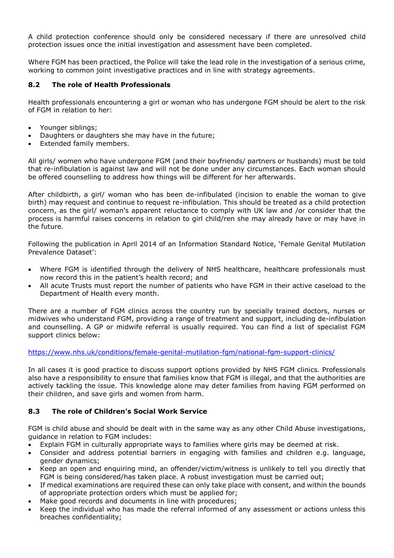A child protection conference should only be considered necessary if there are unresolved child protection issues once the initial investigation and assessment have been completed.

Where FGM has been practiced, the Police will take the lead role in the investigation of a serious crime, working to common joint investigative practices and in line with strategy agreements.

## **8.2 The role of Health Professionals**

Health professionals encountering a girl or woman who has undergone FGM should be alert to the risk of FGM in relation to her:

- Younger siblings;
- Daughters or daughters she may have in the future;
- Extended family members.

All girls/ women who have undergone FGM (and their boyfriends/ partners or husbands) must be told that re-infibulation is against law and will not be done under any circumstances. Each woman should be offered counselling to address how things will be different for her afterwards.

After childbirth, a girl/ woman who has been de-infibulated (incision to enable the woman to give birth) may request and continue to request re-infibulation. This should be treated as a child protection concern, as the girl/ woman's apparent reluctance to comply with UK law and /or consider that the process is harmful raises concerns in relation to girl child/ren she may already have or may have in the future.

Following the publication in April 2014 of an Information Standard Notice, 'Female Genital Mutilation Prevalence Dataset':

- Where FGM is identified through the delivery of NHS healthcare, healthcare professionals must now record this in the patient's health record; and
- All acute Trusts must report the number of patients who have FGM in their active caseload to the Department of Health every month.

There are a number of FGM clinics across the country run by specially trained doctors, nurses or midwives who understand FGM, providing a range of treatment and support, including de-infibulation and counselling. A GP or midwife referral is usually required. You can find a list of specialist FGM support clinics below:

#### <https://www.nhs.uk/conditions/female-genital-mutilation-fgm/national-fgm-support-clinics/>

In all cases it is good practice to discuss support options provided by NHS FGM clinics. Professionals also have a responsibility to ensure that families know that FGM is illegal, and that the authorities are actively tackling the issue. This knowledge alone may deter families from having FGM performed on their children, and save girls and women from harm.

## **8.3 The role of Children's Social Work Service**

FGM is child abuse and should be dealt with in the same way as any other Child Abuse investigations, guidance in relation to FGM includes:

- Explain FGM in culturally appropriate ways to families where girls may be deemed at risk.
- Consider and address potential barriers in engaging with families and children e.g. language, gender dynamics;
- Keep an open and enquiring mind, an offender/victim/witness is unlikely to tell you directly that FGM is being considered/has taken place. A robust investigation must be carried out;
- If medical examinations are required these can only take place with consent, and within the bounds of appropriate protection orders which must be applied for;
- Make good records and documents in line with procedures;
- Keep the individual who has made the referral informed of any assessment or actions unless this breaches confidentiality;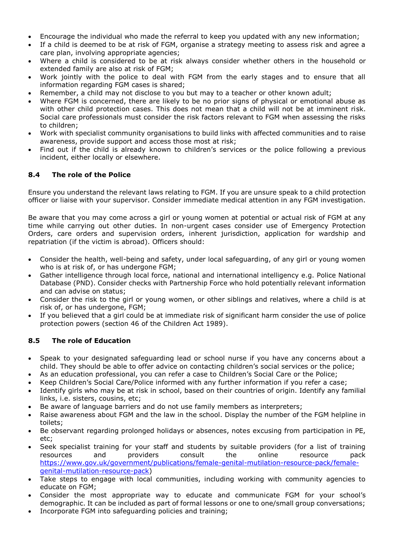- Encourage the individual who made the referral to keep you updated with any new information;
- If a child is deemed to be at risk of FGM, organise a strategy meeting to assess risk and agree a care plan, involving appropriate agencies;
- Where a child is considered to be at risk always consider whether others in the household or extended family are also at risk of FGM;
- Work jointly with the police to deal with FGM from the early stages and to ensure that all information regarding FGM cases is shared;
- Remember, a child may not disclose to you but may to a teacher or other known adult;
- Where FGM is concerned, there are likely to be no prior signs of physical or emotional abuse as with other child protection cases. This does not mean that a child will not be at imminent risk. Social care professionals must consider the risk factors relevant to FGM when assessing the risks to children;
- Work with specialist community organisations to build links with affected communities and to raise awareness, provide support and access those most at risk;
- Find out if the child is already known to children's services or the police following a previous incident, either locally or elsewhere.

## **8.4 The role of the Police**

Ensure you understand the relevant laws relating to FGM. If you are unsure speak to a child protection officer or liaise with your supervisor. Consider immediate medical attention in any FGM investigation.

Be aware that you may come across a girl or young women at potential or actual risk of FGM at any time while carrying out other duties. In non-urgent cases consider use of Emergency Protection Orders, care orders and supervision orders, inherent jurisdiction, application for wardship and repatriation (if the victim is abroad). Officers should:

- Consider the health, well-being and safety, under local safeguarding, of any girl or young women who is at risk of, or has undergone FGM;
- Gather intelligence through local force, national and international intelligency e.g. Police National Database (PND). Consider checks with Partnership Force who hold potentially relevant information and can advise on status;
- Consider the risk to the girl or young women, or other siblings and relatives, where a child is at risk of, or has undergone, FGM;
- If you believed that a girl could be at immediate risk of significant harm consider the use of police protection powers (section 46 of the Children Act 1989).

## **8.5 The role of Education**

- Speak to your designated safeguarding lead or school nurse if you have any concerns about a child. They should be able to offer advice on contacting children's social services or the police;
- As an education professional, you can refer a case to Children's Social Care or the Police;
- Keep Children's Social Care/Police informed with any further information if you refer a case;
- Identify girls who may be at risk in school, based on their countries of origin. Identify any familial links, i.e. sisters, cousins, etc;
- Be aware of language barriers and do not use family members as interpreters;
- Raise awareness about FGM and the law in the school. Display the number of the FGM helpline in toilets;
- Be observant regarding prolonged holidays or absences, notes excusing from participation in PE, etc;
- Seek specialist training for your staff and students by suitable providers (for a list of training resources and providers consult the online resource pack [https://www.gov.uk/government/publications/female-genital-mutilation-resource-pack/female](https://www.gov.uk/government/publications/female-genital-mutilation-resource-pack/female-genital-mutilation-resource-pack)[genital-mutilation-resource-pack\)](https://www.gov.uk/government/publications/female-genital-mutilation-resource-pack/female-genital-mutilation-resource-pack)
- Take steps to engage with local communities, including working with community agencies to educate on FGM;
- Consider the most appropriate way to educate and communicate FGM for your school's demographic. It can be included as part of formal lessons or one to one/small group conversations;
- Incorporate FGM into safeguarding policies and training;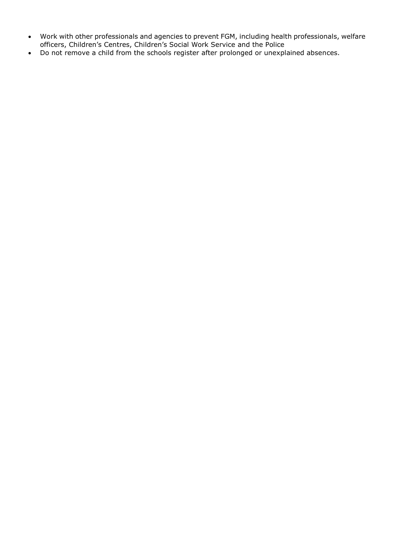- Work with other professionals and agencies to prevent FGM, including health professionals, welfare officers, Children's Centres, Children's Social Work Service and the Police
- Do not remove a child from the schools register after prolonged or unexplained absences.